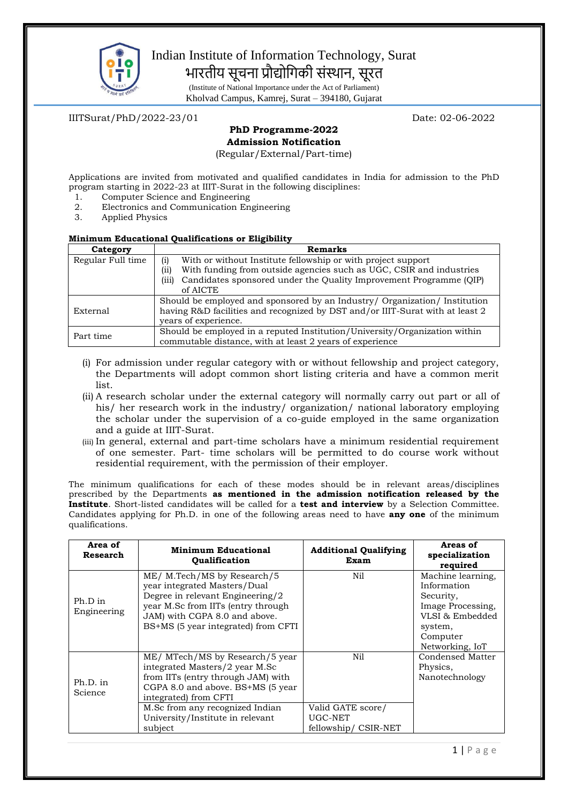

# Indian Institute of Information Technology, Surat भारतीय सूचना प्रौद्योगिकी संस्थान, सूरत

(Institute of National Importance under the Act of Parliament) Kholvad Campus, Kamrej, Surat – 394180, Gujarat

IIITSurat/PhD/2022-23/01 Date: 02-06-2022

## **PhD Programme-2022 Admission Notification**

(Regular/External/Part-time)

Applications are invited from motivated and qualified candidates in India for admission to the PhD program starting in 2022-23 at IIIT-Surat in the following disciplines:

- 1. Computer Science and Engineering
- 2. Electronics and Communication Engineering<br>3. Applied Physics
- Applied Physics

### **Minimum Educational Qualifications or Eligibility**

| Category          | <b>Remarks</b>                                                                |  |  |
|-------------------|-------------------------------------------------------------------------------|--|--|
| Regular Full time | With or without Institute fellowship or with project support<br>(i)           |  |  |
|                   | With funding from outside agencies such as UGC, CSIR and industries<br>(ii)   |  |  |
|                   | Candidates sponsored under the Quality Improvement Programme (QIP)<br>(iii)   |  |  |
|                   | of AICTE                                                                      |  |  |
|                   | Should be employed and sponsored by an Industry/ Organization/ Institution    |  |  |
| External          | having R&D facilities and recognized by DST and/or IIIT-Surat with at least 2 |  |  |
|                   | vears of experience.                                                          |  |  |
| Part time         | Should be employed in a reputed Institution/University/Organization within    |  |  |
|                   | commutable distance, with at least 2 years of experience                      |  |  |

- (i) For admission under regular category with or without fellowship and project category, the Departments will adopt common short listing criteria and have a common merit list.
- (ii) A research scholar under the external category will normally carry out part or all of his/ her research work in the industry/ organization/ national laboratory employing the scholar under the supervision of a co-guide employed in the same organization and a guide at IIIT-Surat.
- (iii) In general, external and part-time scholars have a minimum residential requirement of one semester. Part- time scholars will be permitted to do course work without residential requirement, with the permission of their employer.

The minimum qualifications for each of these modes should be in relevant areas/disciplines prescribed by the Departments **as mentioned in the admission notification released by the Institute**. Short-listed candidates will be called for a **test and interview** by a Selection Committee. Candidates applying for Ph.D. in one of the following areas need to have **any one** of the minimum qualifications.

| Area of<br>Research    | <b>Minimum Educational</b><br><b>Oualification</b>                                                                                                                                                                                           | <b>Additional Qualifying</b><br>Exam | Areas of<br>specialization<br>required                                                                                          |
|------------------------|----------------------------------------------------------------------------------------------------------------------------------------------------------------------------------------------------------------------------------------------|--------------------------------------|---------------------------------------------------------------------------------------------------------------------------------|
| Ph.D in<br>Engineering | ME/ M.Tech/MS by Research/5<br>year integrated Masters/Dual<br>Degree in relevant Engineering/2<br>year M.Sc from IITs (entry through<br>JAM) with CGPA 8.0 and above.<br>BS+MS (5 year integrated) from CFTI                                | Nil                                  | Machine learning,<br>Information<br>Security,<br>Image Processing,<br>VLSI & Embedded<br>system,<br>Computer<br>Networking, IoT |
| Ph.D. in<br>Science    | ME/ MTech/MS by Research/5 year<br>integrated Masters/2 year M.Sc<br>from IITs (entry through JAM) with<br>CGPA 8.0 and above. BS+MS (5 year<br>integrated) from CFTI<br>M.Sc from any recognized Indian<br>University/Institute in relevant | Nil<br>Valid GATE score/<br>UGC-NET  | Condensed Matter<br>Physics,<br>Nanotechnology                                                                                  |
|                        | subject                                                                                                                                                                                                                                      | fellowship/CSIR-NET                  |                                                                                                                                 |